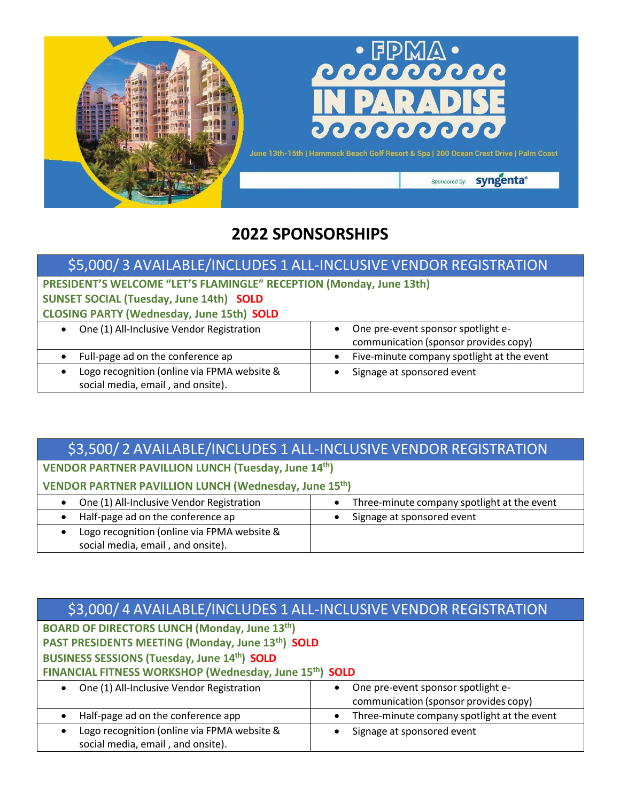

## **2022 SPONSORSHIPS**

### \$5,000/ 3 AVAILABLE/INCLUDES 1 ALL-INCLUSIVE VENDOR REGISTRATION

## **PRESIDENT'S WELCOME "LET'S FLAMINGLE" RECEPTION (Monday, June 13th) SUNSET SOCIAL (Tuesday, June 14th) SOLD CLOSING PARTY (Wednesday, June 15th) SOLD**

| One (1) All-Inclusive Vendor Registration   | One pre-event sponsor spotlight e-         |  |  |  |  |
|---------------------------------------------|--------------------------------------------|--|--|--|--|
|                                             | communication (sponsor provides copy)      |  |  |  |  |
| Full-page ad on the conference ap           | Five-minute company spotlight at the event |  |  |  |  |
| Logo recognition (online via FPMA website & | Signage at sponsored event                 |  |  |  |  |
| social media, email, and onsite).           |                                            |  |  |  |  |

### \$3,500/ 2 AVAILABLE/INCLUDES 1 ALL-INCLUSIVE VENDOR REGISTRATION **VENDOR PARTNER PAVILLION LUNCH (Tuesday, June 14th) VENDOR PARTNER PAVILLION LUNCH (Wednesday, June 15th)** One (1) All-Inclusive Vendor Registration **•** Three-minute company spotlight at the event • Half-page ad on the conference ap **•** Signage at sponsored event • Logo recognition (online via FPMA website & social media, email , and onsite).

#### \$3,000/ 4 AVAILABLE/INCLUDES 1 ALL-INCLUSIVE VENDOR REGISTRATION **BOARD OF DIRECTORS LUNCH (Monday, June 13th) PAST PRESIDENTS MEETING (Monday, June 13th) SOLD BUSINESS SESSIONS (Tuesday, June 14th) SOLD FINANCIAL FITNESS WORKSHOP (Wednesday, June 15th) SOLD** • One (1) All-Inclusive Vendor Registration **•** One pre-event sponsor spotlight ecommunication (sponsor provides copy) • Half-page ad on the conference app  $\parallel \cdot \cdot \cdot \cdot \cdot \cdot \cdot \cdot \cdot \cdot$  Three-minute company spotlight at the event • Logo recognition (online via FPMA website & social media, email , and onsite). • Signage at sponsored event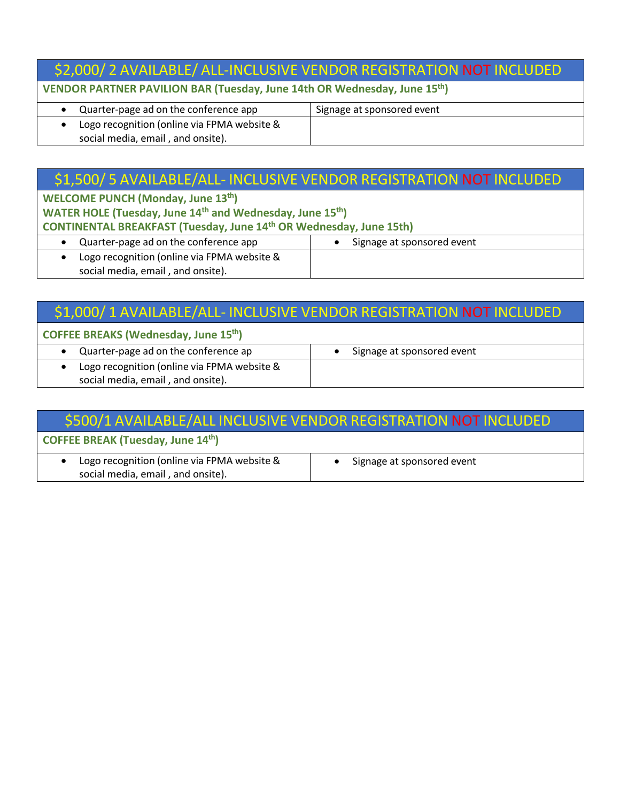# \$2,000/ 2 AVAILABLE/ ALL-INCLUSIVE VENDOR REGISTRATION NOT INCLUDED

**VENDOR PARTNER PAVILION BAR (Tuesday, June 14th OR Wednesday, June 15th)**

| Quarter-page ad on the conference app       | Signage at sponsored event |
|---------------------------------------------|----------------------------|
| Logo recognition (online via FPMA website & |                            |
| social media, email, and onsite).           |                            |

### \$1,500/ 5 AVAILABLE/ALL- INCLUSIVE VENDOR REGISTRATION NOT INCLUDED

**WELCOME PUNCH (Monday, June 13th)**

**WATER HOLE (Tuesday, June 14th and Wednesday, June 15th)**

**CONTINENTAL BREAKFAST (Tuesday, June 14th OR Wednesday, June 15th)**

- Quarter-page ad on the conference app **•** Signage at sponsored event • Logo recognition (online via FPMA website &
	- social media, email , and onsite).

## \$1,000/ 1 AVAILABLE/ALL- INCLUSIVE VENDOR REGISTRATION NOT INCLUDED

#### **COFFEE BREAKS (Wednesday, June 15th)**

| Quarter-page ad on the conference ap                                             | Signage at sponsored event |
|----------------------------------------------------------------------------------|----------------------------|
| Logo recognition (online via FPMA website &<br>social media, email, and onsite). |                            |

## \$500/1 AVAILABLE/ALL INCLUSIVE VENDOR REGISTRATION NOT INCLUDED

### **COFFEE BREAK (Tuesday, June 14th)**

| Logo recognition (online via FPMA website & |  | Signage at sponsored event |  |  |
|---------------------------------------------|--|----------------------------|--|--|
| social media, email, and onsite).           |  |                            |  |  |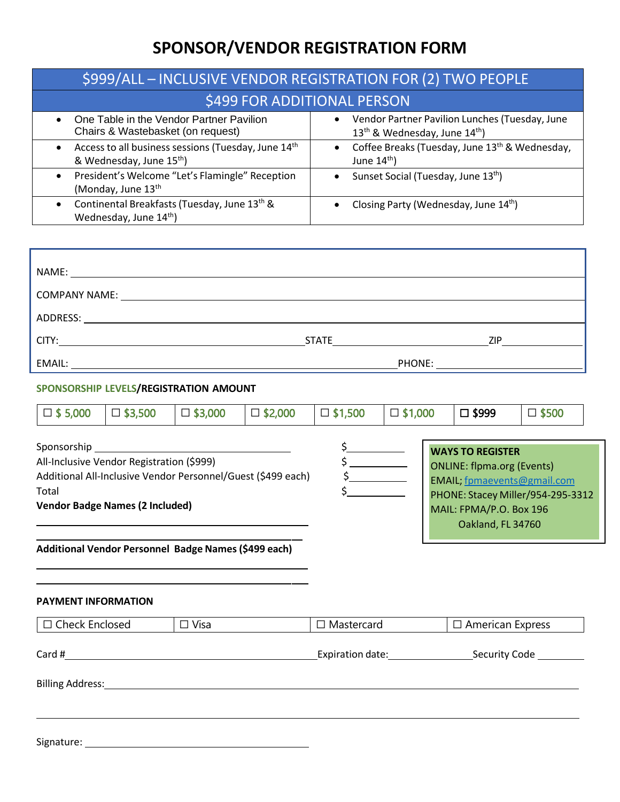# **SPONSOR/VENDOR REGISTRATION FORM**

| \$999/ALL - INCLUSIVE VENDOR REGISTRATION FOR (2) TWO PEOPLE                                                |                                                                                                           |  |  |  |  |  |
|-------------------------------------------------------------------------------------------------------------|-----------------------------------------------------------------------------------------------------------|--|--|--|--|--|
| \$499 FOR ADDITIONAL PERSON                                                                                 |                                                                                                           |  |  |  |  |  |
| One Table in the Vendor Partner Pavilion<br>$\bullet$<br>Chairs & Wastebasket (on request)                  | • Vendor Partner Pavilion Lunches (Tuesday, June<br>13 <sup>th</sup> & Wednesday, June 14 <sup>th</sup> ) |  |  |  |  |  |
| • Access to all business sessions (Tuesday, June 14 <sup>th</sup> )<br>& Wednesday, June 15 <sup>th</sup> ) | Coffee Breaks (Tuesday, June 13 <sup>th</sup> & Wednesday,<br>$\bullet$<br>June $14th$ )                  |  |  |  |  |  |
| President's Welcome "Let's Flamingle" Reception<br>$\bullet$<br>(Monday, June 13 <sup>th</sup>              | Sunset Social (Tuesday, June 13th)<br>$\bullet$                                                           |  |  |  |  |  |
| Continental Breakfasts (Tuesday, June 13th &<br>$\bullet$<br>Wednesday, June 14th)                          | Closing Party (Wednesday, June 14th)<br>$\bullet$                                                         |  |  |  |  |  |

|                                                                                                                                                                                                                      | NAME: NAME:                            |                |                |                                                                                                                                                                                                                                      |                                                                                                                                                                                  |  |         |                 |
|----------------------------------------------------------------------------------------------------------------------------------------------------------------------------------------------------------------------|----------------------------------------|----------------|----------------|--------------------------------------------------------------------------------------------------------------------------------------------------------------------------------------------------------------------------------------|----------------------------------------------------------------------------------------------------------------------------------------------------------------------------------|--|---------|-----------------|
|                                                                                                                                                                                                                      |                                        |                |                |                                                                                                                                                                                                                                      |                                                                                                                                                                                  |  |         |                 |
|                                                                                                                                                                                                                      |                                        |                |                |                                                                                                                                                                                                                                      |                                                                                                                                                                                  |  |         |                 |
| CITY:                                                                                                                                                                                                                |                                        |                |                |                                                                                                                                                                                                                                      |                                                                                                                                                                                  |  |         |                 |
|                                                                                                                                                                                                                      |                                        |                |                |                                                                                                                                                                                                                                      |                                                                                                                                                                                  |  |         |                 |
|                                                                                                                                                                                                                      | SPONSORSHIP LEVELS/REGISTRATION AMOUNT |                |                |                                                                                                                                                                                                                                      |                                                                                                                                                                                  |  |         |                 |
| $\square$ \$ 5,000                                                                                                                                                                                                   | $\Box$ \$3,500                         | $\Box$ \$3,000 | $\Box$ \$2,000 | $\square$ \$1,500                                                                                                                                                                                                                    | $\square$ \$1,000                                                                                                                                                                |  | □ \$999 | $\square$ \$500 |
| All-Inclusive Vendor Registration (\$999)<br>Additional All-Inclusive Vendor Personnel/Guest (\$499 each)<br>Total<br><b>Vendor Badge Names (2 Included)</b><br>Additional Vendor Personnel Badge Names (\$499 each) |                                        |                |                | <u>and the state of the state of the state of the state of the state of the state of the state of the state of the state of the state of the state of the state of the state of the state of the state of the state of the state</u> | <b>WAYS TO REGISTER</b><br><b>ONLINE: flpma.org (Events)</b><br>EMAIL; fpmaevents@gmail.com<br>PHONE: Stacey Miller/954-295-3312<br>MAIL: FPMA/P.O. Box 196<br>Oakland, FL 34760 |  |         |                 |
|                                                                                                                                                                                                                      |                                        |                |                |                                                                                                                                                                                                                                      |                                                                                                                                                                                  |  |         |                 |

#### **PAYMENT INFORMATION**

Signature:

| $\Box$ Check Enclosed   | $\Box$ Visa | $\Box$ Mastercard | $\Box$ American Express |  |
|-------------------------|-------------|-------------------|-------------------------|--|
| Card #                  |             | Expiration date:  | Security Code           |  |
| <b>Billing Address:</b> |             |                   |                         |  |
|                         |             |                   |                         |  |
|                         |             |                   |                         |  |